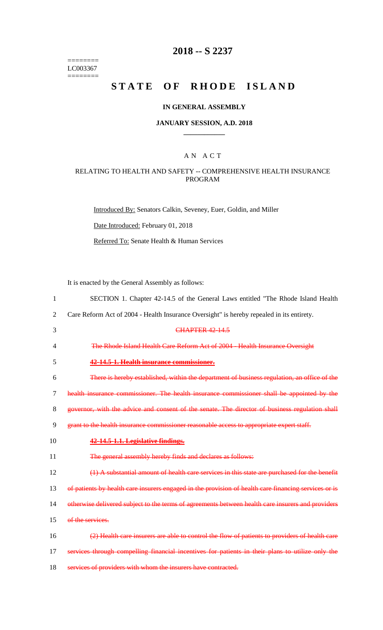======== LC003367  $=$ 

## **2018 -- S 2237**

# STATE OF RHODE ISLAND

## **IN GENERAL ASSEMBLY**

#### **JANUARY SESSION, A.D. 2018 \_\_\_\_\_\_\_\_\_\_\_\_**

### A N A C T

## RELATING TO HEALTH AND SAFETY -- COMPREHENSIVE HEALTH INSURANCE PROGRAM

Introduced By: Senators Calkin, Seveney, Euer, Goldin, and Miller

Date Introduced: February 01, 2018

Referred To: Senate Health & Human Services

It is enacted by the General Assembly as follows:

| 1              | SECTION 1. Chapter 42-14.5 of the General Laws entitled "The Rhode Island Health                     |
|----------------|------------------------------------------------------------------------------------------------------|
| 2              | Care Reform Act of 2004 - Health Insurance Oversight" is hereby repealed in its entirety.            |
| 3              | <b>CHAPTER 42-14.5</b>                                                                               |
| 4              | The Rhode Island Health Care Reform Act of 2004 - Health Insurance Oversight                         |
| 5              | 42-14.5-1. Health insurance commissioner.                                                            |
| 6              | There is hereby established, within the department of business regulation, an office of the          |
| $\overline{7}$ | health insurance commissioner. The health insurance commissioner shall be appointed by the           |
| 8              | governor, with the advice and consent of the senate. The director of business regulation shall       |
| 9              | grant to the health insurance commissioner reasonable access to appropriate expert staff.            |
| 10             | 42-14.5-1.1. Legislative findings.                                                                   |
| 11             | The general assembly hereby finds and declares as follows:                                           |
| 12             | (1) A substantial amount of health care services in this state are purchased for the benefit         |
| 13             | of patients by health care insurers engaged in the provision of health care financing services or is |
| 14             | otherwise delivered subject to the terms of agreements between health care insurers and providers    |
| 15             | of the services.                                                                                     |
| 16             | (2) Health care insurers are able to control the flow of patients to providers of health care        |
| 17             | services through compelling financial incentives for patients in their plans to utilize only the     |
| 18             | services of providers with whom the insurers have contracted.                                        |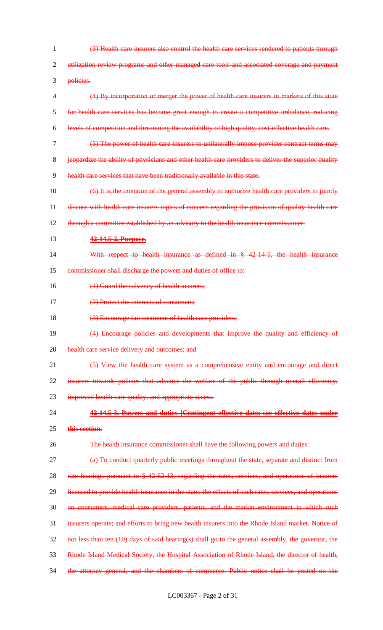(3) Health care insurers also control the health care services rendered to patients through 2 utilization review programs and other managed care tools and associated coverage and payment policies. (4) By incorporation or merger the power of health care insurers in markets of this state for health care services has become great enough to create a competitive imbalance, reducing levels of competition and threatening the availability of high quality, cost-effective health care. (5) The power of health care insurers to unilaterally impose provider contract terms may jeopardize the ability of physicians and other health care providers to deliver the superior quality health care services that have been traditionally available in this state. (6) It is the intention of the general assembly to authorize health care providers to jointly discuss with health care insurers topics of concern regarding the provision of quality health care 12 through a committee established by an advisory to the health insurance commissioner. **42-14.5-2. Purpose.** 14 With respect to health insurance as defined in § 42.14.5, the health insurance commissioner shall discharge the powers and duties of office to: 16 (1) Guard the solvency of health insurers; (2) Protect the interests of consumers; 18 (3) Encourage fair treatment of health care providers; (4) Encourage policies and developments that improve the quality and efficiency of 20 health care service delivery and outcomes; and (5) View the health care system as a comprehensive entity and encourage and direct 22 insurers towards policies that advance the welfare of the public through overall efficiency, 23 improved health care quality, and appropriate access. **42-14.5-3. Powers and duties [Contingent effective date; see effective dates under this section.** 26 The health insurance commissioner shall have the following powers and duties: 27 (a) To conduct quarterly public meetings throughout the state, separate and distinct from rate hearings pursuant to § 42-62-13, regarding the rates, services, and operations of insurers 29 licensed to provide health insurance in the state; the effects of such rates, services, and operations on consumers, medical care providers, patients, and the market environment in which such insurers operate; and efforts to bring new health insurers into the Rhode Island market. Notice of not less than ten (10) days of said hearing(s) shall go to the general assembly, the governor, the Rhode Island Medical Society, the Hospital Association of Rhode Island, the director of health, 34 the attorney general, and the chambers of commerce. Public notice shall be posted on the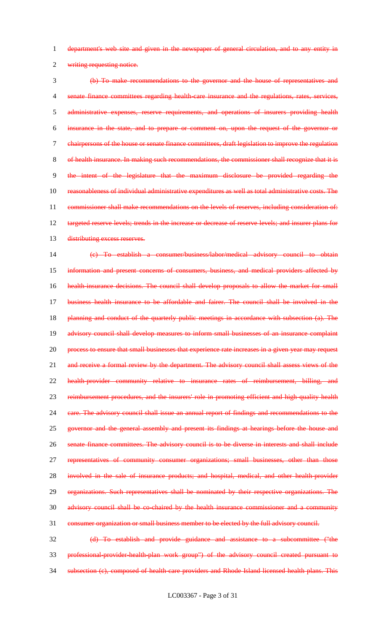department's web site and given in the newspaper of general circulation, and to any entity in

writing requesting notice.

 (b) To make recommendations to the governor and the house of representatives and senate finance committees regarding health-care insurance and the regulations, rates, services, administrative expenses, reserve requirements, and operations of insurers providing health insurance in the state, and to prepare or comment on, upon the request of the governor or chairpersons of the house or senate finance committees, draft legislation to improve the regulation of health insurance. In making such recommendations, the commissioner shall recognize that it is the intent of the legislature that the maximum disclosure be provided regarding the reasonableness of individual administrative expenditures as well as total administrative costs. The 11 commissioner shall make recommendations on the levels of reserves, including consideration of: targeted reserve levels; trends in the increase or decrease of reserve levels; and insurer plans for 13 distributing excess reserves. (c) To establish a consumer/business/labor/medical advisory council to obtain

15 information and present concerns of consumers, business, and medical providers affected by health-insurance decisions. The council shall develop proposals to allow the market for small business health insurance to be affordable and fairer. The council shall be involved in the 18 planning and conduct of the quarterly public meetings in accordance with subsection (a). The 19 advisory council shall develop measures to inform small businesses of an insurance complaint process to ensure that small businesses that experience rate increases in a given year may request 21 and receive a formal review by the department. The advisory council shall assess views of the health-provider community relative to insurance rates of reimbursement, billing, and 23 reimbursement procedures, and the insurers' role in promoting efficient and high-quality health care. The advisory council shall issue an annual report of findings and recommendations to the 25 governor and the general assembly and present its findings at hearings before the house and senate finance committees. The advisory council is to be diverse in interests and shall include representatives of community consumer organizations; small businesses, other than those 28 involved in the sale of insurance products; and hospital, medical, and other health-provider organizations. Such representatives shall be nominated by their respective organizations. The advisory council shall be co-chaired by the health insurance commissioner and a community consumer organization or small business member to be elected by the full advisory council.

 (d) To establish and provide guidance and assistance to a subcommittee ("the professional-provider-health-plan work group") of the advisory council created pursuant to 34 subsection (c), composed of health-care providers and Rhode Island licensed health plans. This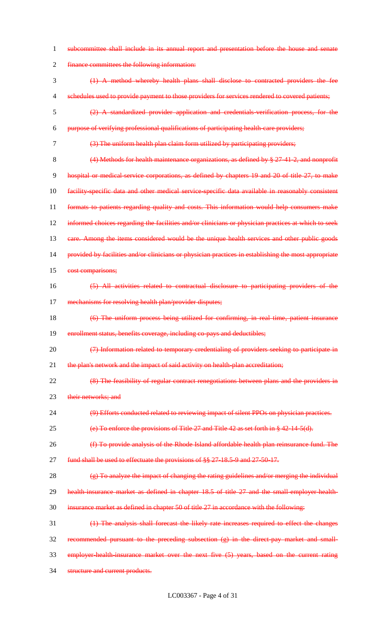| 1                        | subcommittee shall include in its annual report and presentation before the house and senate         |
|--------------------------|------------------------------------------------------------------------------------------------------|
| $\overline{2}$           | finance committees the following information:                                                        |
| 3                        | (1) A method whereby health plans shall disclose to contracted providers the fee                     |
| $\overline{\mathcal{A}}$ | schedules used to provide payment to those providers for services rendered to covered patients;      |
| 5                        | A standardized provider application and credentials verification process, for the                    |
| 6                        | purpose of verifying professional qualifications of participating health care providers;             |
| 7                        | (3) The uniform health plan claim form utilized by participating providers;                          |
| 8                        | $(4)$ Methods for health maintenance organizations, as defined by § 27-41-2, and nonprofit           |
| 9                        | hospital or medical service corporations, as defined by chapters 19 and 20 of title 27, to make      |
| 10                       | facility specific data and other medical service specific data available in reasonably consistent    |
| 11                       | formats to patients regarding quality and costs. This information would help consumers make          |
| 12                       | informed choices regarding the facilities and/or clinicians or physician practices at which to seek  |
| 13                       | care. Among the items considered would be the unique health services and other public goods          |
| 14                       | provided by facilities and/or clinicians or physician practices in establishing the most appropriate |
| 15                       | cost comparisons;                                                                                    |
| 16                       | All activities related to contractual disclosure to participating providers of the                   |
| 17                       | mechanisms for resolving health plan/provider disputes;                                              |
| 18                       | (6) The uniform process being utilized for confirming, in real time, patient insurance               |
| 19                       | enrollment status, benefits coverage, including co-pays and deductibles;                             |
| 20                       | (7) Information related to temporary credentialing of providers seeking to participate in            |
| 21                       | the plan's network and the impact of said activity on health-plan accreditation;                     |
| 22                       | (8) The feasibility of regular contract renegotiations between plans and the providers in            |
| 23                       | their networks; and                                                                                  |
| 24                       | (9) Efforts conducted related to reviewing impact of silent PPOs on physician practices.             |
| 25                       | (e) To enforce the provisions of Title $27$ and Title $42$ as set forth in § $42-14-5(d)$ .          |
| 26                       | (f) To provide analysis of the Rhode Island affordable health plan reinsurance fund. The             |
| 27                       | fund shall be used to effectuate the provisions of §§ 27-18.5-9 and 27-50-17.                        |
| 28                       | (g) To analyze the impact of changing the rating guidelines and/or merging the individual            |
| 29                       | health insurance market as defined in chapter 18.5 of title 27 and the small employer health-        |
| 30                       | insurance market as defined in chapter 50 of title 27 in accordance with the following:              |
| 31                       | (1) The analysis shall forecast the likely rate increases required to effect the changes             |
| 32                       | recommended pursuant to the preceding subsection (g) in the direct-pay market and small-             |
| 33                       | employer-health-insurance market over the next five (5) years, based on the current rating           |
| 34                       | structure and current products.                                                                      |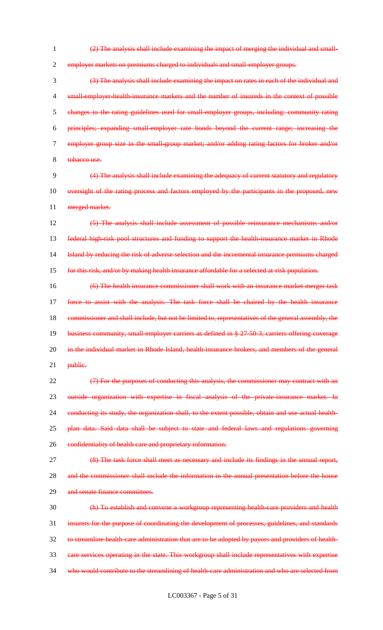1 (2) The analysis shall include examining the impact of merging the individual and small-

2 employer markets on premiums charged to individuals and small-employer groups.

 (3) The analysis shall include examining the impact on rates in each of the individual and 4 small-employer-health-insurance markets and the number of insureds in the context of possible changes to the rating guidelines used for small-employer groups, including: community rating principles; expanding small-employer rate bonds beyond the current range; increasing the employer group size in the small-group market; and/or adding rating factors for broker and/or 8 tobacco use.

9 (4) The analysis shall include examining the adequacy of current statutory and regulatory 10 oversight of the rating process and factors employed by the participants in the proposed, new 11 merged market.

 (5) The analysis shall include assessment of possible reinsurance mechanisms and/or federal high-risk pool structures and funding to support the health-insurance market in Rhode Island by reducing the risk of adverse selection and the incremental insurance premiums charged 15 for this risk, and/or by making health insurance affordable for a selected at risk population.

16 (6) The health insurance commissioner shall work with an insurance market merger task 17 force to assist with the analysis. The task force shall be chaired by the health insurance 18 commissioner and shall include, but not be limited to, representatives of the general assembly, the 19 business community, small-employer carriers as defined in § 27-50-3, carriers offering coverage 20 in the individual market in Rhode Island, health-insurance brokers, and members of the general 21 <del>public.</del>

22 (7) For the purposes of conducting this analysis, the commissioner may contract with an 23 outside organization with expertise in fiscal analysis of the private-insurance market. In 24 conducting its study, the organization shall, to the extent possible, obtain and use actual health-25 plan data. Said data shall be subject to state and federal laws and regulations governing 26 confidentiality of health care and proprietary information.

27 (8) The task force shall meet as necessary and include its findings in the annual report, 28 and the commissioner shall include the information in the annual presentation before the house 29 and senate finance committees.

 (h) To establish and convene a workgroup representing health-care providers and health insurers for the purpose of coordinating the development of processes, guidelines, and standards to streamline health-care administration that are to be adopted by payors and providers of health- care services operating in the state. This workgroup shall include representatives with expertise 34 who would contribute to the streamlining of health-care administration and who are selected from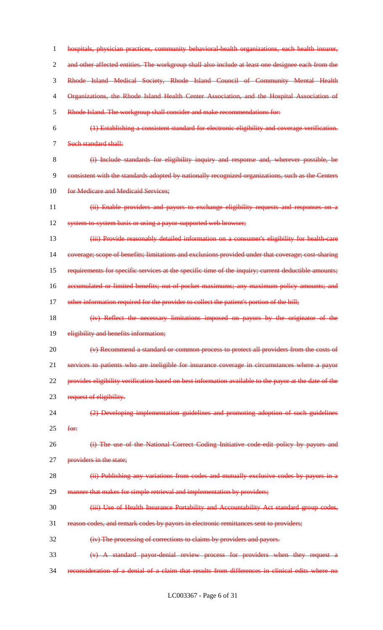hospitals, physician practices, community behavioral-health organizations, each health insurer, 2 and other affected entities. The workgroup shall also include at least one designee each from the Rhode Island Medical Society, Rhode Island Council of Community Mental Health 4 Organizations, the Rhode Island Health Center Association, and the Hospital Association of Rhode Island. The workgroup shall consider and make recommendations for: (1) Establishing a consistent standard for electronic eligibility and coverage verification. Such standard shall: (i) Include standards for eligibility inquiry and response and, wherever possible, be consistent with the standards adopted by nationally recognized organizations, such as the Centers 10 for Medicare and Medicaid Services; (ii) Enable providers and payors to exchange eligibility requests and responses on a 12 system-to-system basis or using a payor-supported web browser; (iii) Provide reasonably detailed information on a consumer's eligibility for health-care coverage; scope of benefits; limitations and exclusions provided under that coverage; cost-sharing requirements for specific services at the specific time of the inquiry; current deductible amounts; accumulated or limited benefits; out-of-pocket maximums; any maximum policy amounts; and 17 other information required for the provider to collect the patient's portion of the bill; (iv) Reflect the necessary limitations imposed on payors by the originator of the 19 eligibility and benefits information; (v) Recommend a standard or common process to protect all providers from the costs of services to patients who are ineligible for insurance coverage in circumstances where a payor provides eligibility verification based on best information available to the payor at the date of the 23 request of eligibility. (2) Developing implementation guidelines and promoting adoption of such guidelines for: (i) The use of the National Correct Coding Initiative code-edit policy by payors and 27 providers in the state; 28 (ii) Publishing any variations from codes and mutually exclusive codes by payors in a 29 manner that makes for simple retrieval and implementation by providers; (iii) Use of Health Insurance Portability and Accountability Act standard group codes, reason codes, and remark codes by payors in electronic remittances sent to providers; (iv) The processing of corrections to claims by providers and payors. (v) A standard payor-denial review process for providers when they request a reconsideration of a denial of a claim that results from differences in clinical edits where no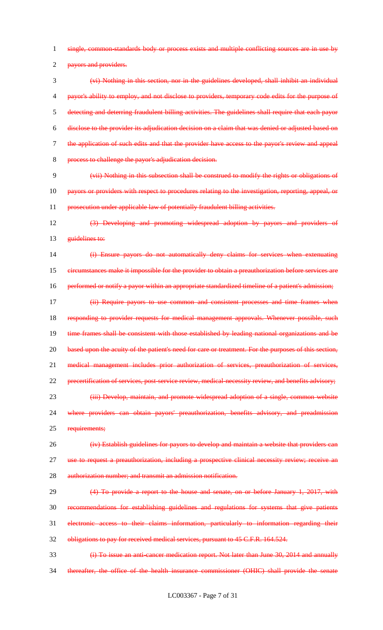single, common-standards body or process exists and multiple conflicting sources are in use by

2 payors and providers.

 (vi) Nothing in this section, nor in the guidelines developed, shall inhibit an individual payor's ability to employ, and not disclose to providers, temporary code edits for the purpose of detecting and deterring fraudulent billing activities. The guidelines shall require that each payor disclose to the provider its adjudication decision on a claim that was denied or adjusted based on the application of such edits and that the provider have access to the payor's review and appeal process to challenge the payor's adjudication decision.

 (vii) Nothing in this subsection shall be construed to modify the rights or obligations of 10 payors or providers with respect to procedures relating to the investigation, reporting, appeal, or 11 prosecution under applicable law of potentially fraudulent billing activities.

 (3) Developing and promoting widespread adoption by payors and providers of 13 guidelines to:

 (i) Ensure payors do not automatically deny claims for services when extenuating 15 eircumstances make it impossible for the provider to obtain a preauthorization before services are 16 performed or notify a payor within an appropriate standardized timeline of a patient's admission;

 (ii) Require payors to use common and consistent processes and time frames when 18 responding to provider requests for medical management approvals. Whenever possible, such 19 time frames shall be consistent with those established by leading national organizations and be 20 based upon the acuity of the patient's need for care or treatment. For the purposes of this section, medical management includes prior authorization of services, preauthorization of services, 22 precertification of services, post-service review, medical-necessity review, and benefits advisory; 23 (iii) Develop, maintain, and promote widespread adoption of a single, common website where providers can obtain payors' preauthorization, benefits advisory, and preadmission

25 requirements;

 (iv) Establish guidelines for payors to develop and maintain a website that providers can use to request a preauthorization, including a prospective clinical necessity review; receive an authorization number; and transmit an admission notification.

 (4) To provide a report to the house and senate, on or before January 1, 2017, with recommendations for establishing guidelines and regulations for systems that give patients electronic access to their claims information, particularly to information regarding their obligations to pay for received medical services, pursuant to 45 C.F.R. 164.524.

**(i) To issue an anti-cancer medication report. Not later than June 30, 2014 and annually** thereafter, the office of the health insurance commissioner (OHIC) shall provide the senate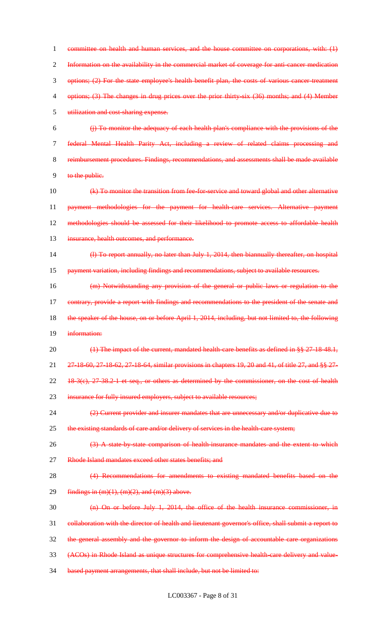1 committee on health and human services, and the house committee on corporations, with: (1) 2 Information on the availability in the commercial market of coverage for anti-cancer medication 3 options; (2) For the state employee's health benefit plan, the costs of various cancer-treatment 4 options; (3) The changes in drug prices over the prior thirty-six (36) months; and (4) Member 5 utilization and cost-sharing expense. 6 (j) To monitor the adequacy of each health plan's compliance with the provisions of the 7 federal Mental Health Parity Act, including a review of related claims processing and 8 reimbursement procedures. Findings, recommendations, and assessments shall be made available 9 to the public. 10 (k) To monitor the transition from fee-for-service and toward global and other alternative 11 payment methodologies for the payment for health-care services. Alternative payment 12 methodologies should be assessed for their likelihood to promote access to affordable health 13 insurance, health outcomes, and performance. 14 (l) To report annually, no later than July 1, 2014, then biannually thereafter, on hospital 15 payment variation, including findings and recommendations, subject to available resources. 16 (m) Notwithstanding any provision of the general or public laws or regulation to the 17 contrary, provide a report with findings and recommendations to the president of the senate and 18 the speaker of the house, on or before April 1, 2014, including, but not limited to, the following 19 information: 20 (1) The impact of the current, mandated health-care benefits as defined in §§ 27-18-48.1, 21 27-18-60, 27-18-62, 27-18-64, similar provisions in chapters 19, 20 and 41, of title 27, and §§ 27-  $22$  18-3(e),  $27-38.2-1$  et seq., or others as determined by the commissioner, on the cost of health 23 insurance for fully insured employers, subject to available resources; 24 (2) Current provider and insurer mandates that are unnecessary and/or duplicative due to 25 the existing standards of care and/or delivery of services in the health-care system; 26 (3) A state-by-state comparison of health-insurance mandates and the extent to which 27 Rhode Island mandates exceed other states benefits; and

28 (4) Recommendations for amendments to existing mandated benefits based on the 29 findings in  $(m)(1), (m)(2),$  and  $(m)(3)$  above.

30 (n) On or before July 1, 2014, the office of the health insurance commissioner, in

31 collaboration with the director of health and lieutenant governor's office, shall submit a report to

32 the general assembly and the governor to inform the design of accountable care organizations

33 (ACOs) in Rhode Island as unique structures for comprehensive health-care delivery and value-

34 based payment arrangements, that shall include, but not be limited to: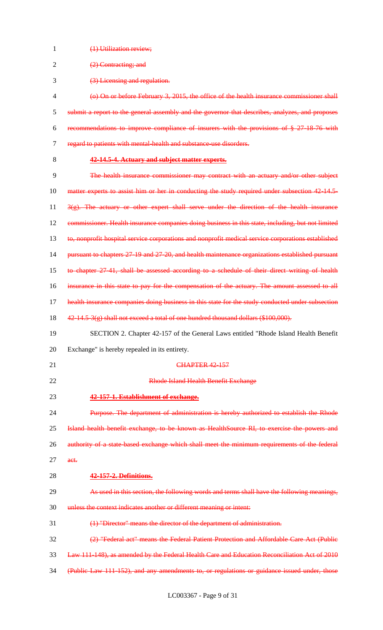| 1              | (1) Utilization review;                                                                            |
|----------------|----------------------------------------------------------------------------------------------------|
| $\overline{2}$ | (2) Contracting; and                                                                               |
| 3              | (3) Licensing and regulation.                                                                      |
| $\overline{4}$ | (o) On or before February 3, 2015, the office of the health insurance commissioner shall           |
| 5              | submit a report to the general assembly and the governor that describes, analyzes, and proposes    |
| 6              | recommendations to improve compliance of insurers with the provisions of § 27-18-76 with           |
| 7              | regard to patients with mental-health and substance-use disorders.                                 |
| 8              | 42-14.5-4. Actuary and subject matter experts.                                                     |
| 9              | The health insurance commissioner may contract with an actuary and/or other subject                |
| 10             | matter experts to assist him or her in conducting the study required under subsection 42-14.5-     |
| 11             | $3(g)$ . The actuary or other expert shall serve under the direction of the health insurance       |
| 12             | commissioner. Health insurance companies doing business in this state, including, but not limited  |
| 13             | to, nonprofit hospital service corporations and nonprofit medical service corporations established |
| 14             | pursuant to chapters 27-19 and 27-20, and health maintenance organizations established pursuant    |
| 15             | to chapter 27-41, shall be assessed according to a schedule of their direct writing of health      |
| 16             | insurance in this state to pay for the compensation of the actuary. The amount assessed to all     |
| 17             | health insurance companies doing business in this state for the study conducted under subsection   |
| 18             | 42-14.5-3(g) shall not exceed a total of one hundred thousand dollars (\$100,000).                 |
| 19             | SECTION 2. Chapter 42-157 of the General Laws entitled "Rhode Island Health Benefit                |
| 20             | Exchange" is hereby repealed in its entirety.                                                      |
| 21             | <b>CHAPTER 42-157</b>                                                                              |
| 22             | Rhode Island Health Benefit Exchange                                                               |
| 23             | 42-157-1. Establishment of exchange.                                                               |
| 24             | Purpose. The department of administration is hereby authorized to establish the Rhode              |
| 25             | Island health benefit exchange, to be known as HealthSource RI, to exercise the powers and         |
| 26             | authority of a state based exchange which shall meet the minimum requirements of the federal       |
| 27             | act.                                                                                               |
| 28             | <b>42-157-2. Definitions.</b>                                                                      |
| 29             | As used in this section, the following words and terms shall have the following meanings,          |
| 30             | unless the context indicates another or different meaning or intent:                               |
| 31             | (1) "Director" means the director of the department of administration.                             |
| 32             | (2) "Federal act" means the Federal Patient Protection and Affordable Care Act (Public             |
| 33             | Law 111 148), as amended by the Federal Health Care and Education Reconciliation Act of 2010       |
| 34             | (Public Law 111-152), and any amendments to, or regulations or guidance issued under, those        |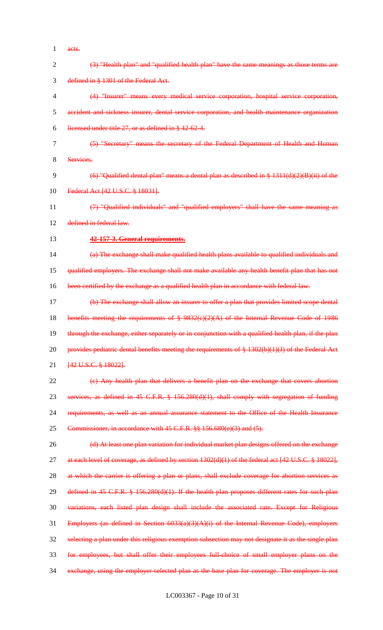1 acts.

| $\overline{2}$ | (3) "Health plan" and "qualified health plan" have the same meanings as those terms are                                    |
|----------------|----------------------------------------------------------------------------------------------------------------------------|
| 3              | defined in § 1301 of the Federal Act.                                                                                      |
| 4              | (4) "Insurer" means every medical service corporation, hospital service corporation,                                       |
| 5              | accident and sickness insurer, dental service corporation, and health maintenance organization                             |
| 6              | licensed under title 27, or as defined in § 42-62-4.                                                                       |
| 7              | (5) "Secretary" means the secretary of the Federal Department of Health and Human                                          |
| 8              | Services.                                                                                                                  |
| 9              | $(6)$ "Qualified dental plan" means a dental plan as described in § 1311(d)(2)(B)(ii) of the                               |
| 10             | Federal Act [42 U.S.C. § 18031].                                                                                           |
| 11             | "Qualified individuals" and "qualified employers" shall have the same meaning as                                           |
| 12             | defined in federal law.                                                                                                    |
| 13             | 42-157-3. General requirements.                                                                                            |
| 14             | (a) The exchange shall make qualified health plans available to qualified individuals and                                  |
| 15             | qualified employers. The exchange shall not make available any health benefit plan that has not                            |
| 16             | been certified by the exchange as a qualified health plan in accordance with federal law.                                  |
| 17             | (b) The exchange shall allow an insurer to offer a plan that provides limited scope dental                                 |
| 18             | benefits meeting the requirements of $\frac{8}{9}$ 9832(e)(2)(A) of the Internal Revenue Code of 1986                      |
| 19             | through the exchange, either separately or in conjunction with a qualified health plan, if the plan                        |
| 20             | provides pediatric dental benefits meeting the requirements of § 1302(b)(1)(J) of the Federal Act                          |
| 21             | [42 U.S.C. § 18022].                                                                                                       |
| 22             | (c) Any health plan that delivers a benefit plan on the exchange that covers abortion                                      |
| 23             | services, as defined in 45 C.F.R. § 156.280(d)(1), shall comply with segregation of funding                                |
| 24             | requirements, as well as an annual assurance statement to the Office of the Health Insurance                               |
| 25             | Commissioner, in accordance with 45 C.F.R. §§ 156.680(e)(3) and (5).                                                       |
| 26             | (d) At least one plan variation for individual market plan designs offered on the exchange                                 |
| 27             | at each level of coverage, as defined by section $1302(d)(1)$ of the federal act $[42 \text{ U.S.C.} \frac{8}{3} 18022]$ , |
| 28             | at which the carrier is offering a plan or plans, shall exclude coverage for abortion services as                          |
| 29             | defined in 45 C.F.R. § 156.280(d)(1). If the health plan proposes different rates for such plan                            |
| 30             | variations, each listed plan design shall include the associated rate. Except for Religious                                |
| 31             | Employers (as defined in Section $6033(a)(3)(A)(i)$ of the Internal Revenue Code), employers                               |
| 32             | selecting a plan under this religious exemption subsection may not designate it as the single plan                         |
| 33             | for employees, but shall offer their employees full choice of small employer plans on the                                  |
| 34             | exchange, using the employer-selected plan as the base plan for coverage. The employer is not                              |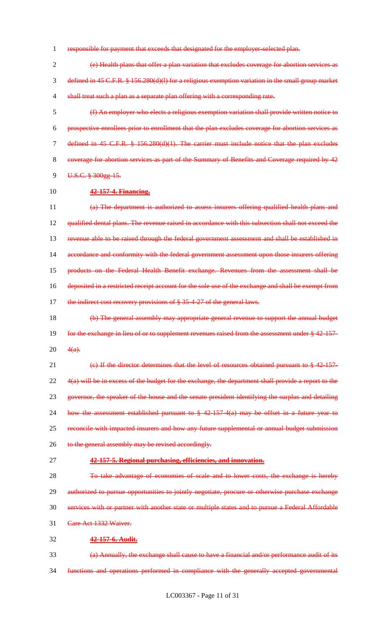responsible for payment that exceeds that designated for the employer-selected plan.

 (e) Health plans that offer a plan variation that excludes coverage for abortion services as defined in 45 C.F.R. § 156.280(d)(l) for a religious exemption variation in the small group market 4 shall treat such a plan as a separate plan offering with a corresponding rate.

 (f) An employer who elects a religious exemption variation shall provide written notice to prospective enrollees prior to enrollment that the plan excludes coverage for abortion services as defined in 45 C.F.R. § 156.280(d)(1). The carrier must include notice that the plan excludes coverage for abortion services as part of the Summary of Benefits and Coverage required by 42 U.S.C. § 300gg-15.

#### **42-157-4. Financing.**

 (a) The department is authorized to assess insurers offering qualified health plans and qualified dental plans. The revenue raised in accordance with this subsection shall not exceed the revenue able to be raised through the federal government assessment and shall be established in accordance and conformity with the federal government assessment upon those insurers offering products on the Federal Health Benefit exchange. Revenues from the assessment shall be deposited in a restricted receipt account for the sole use of the exchange and shall be exempt from 17 the indirect cost recovery provisions of § 35-4-27 of the general laws.

 (b) The general assembly may appropriate general revenue to support the annual budget 19 for the exchange in lieu of or to supplement revenues raised from the assessment under § 42-157-20  $4(a)$ .

## 21 (c) If the director determines that the level of resources obtained pursuant to § 42-157-

22 4(a) will be in excess of the budget for the exchange, the department shall provide a report to the

governor, the speaker of the house and the senate president identifying the surplus and detailing

24 how the assessment established pursuant to § 42-157-4(a) may be offset in a future year to

25 reconcile with impacted insurers and how any future supplemental or annual budget submission

26 to the general assembly may be revised accordingly.

#### **42-157-5. Regional purchasing, efficiencies, and innovation.**

 To take advantage of economies of scale and to lower costs, the exchange is hereby authorized to pursue opportunities to jointly negotiate, procure or otherwise purchase exchange services with or partner with another state or multiple states and to pursue a Federal Affordable 31 Care Act 1332 Waiver.

#### **42-157-6. Audit.**

 (a) Annually, the exchange shall cause to have a financial and/or performance audit of its functions and operations performed in compliance with the generally accepted governmental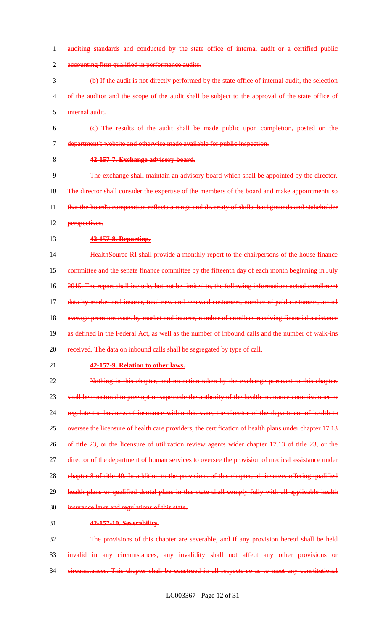- 1 auditing standards and conducted by the state office of internal audit or a certified public 2 accounting firm qualified in performance audits. 3 (b) If the audit is not directly performed by the state office of internal audit, the selection 4 of the auditor and the scope of the audit shall be subject to the approval of the state office of 5 internal audit. 6 (c) The results of the audit shall be made public upon completion, posted on the 7 department's website and otherwise made available for public inspection. 8 **42-157-7. Exchange advisory board.** 9 The exchange shall maintain an advisory board which shall be appointed by the director. 10 The director shall consider the expertise of the members of the board and make appointments so 11 that the board's composition reflects a range and diversity of skills, backgrounds and stakeholder 12 <del>perspectives.</del> 13 **42-157-8. Reporting.** 14 **HealthSource RI shall provide a monthly report to the chairpersons of the house finance** 15 committee and the senate finance committee by the fifteenth day of each month beginning in July 16 2015. The report shall include, but not be limited to, the following information: actual enrollment 17 data by market and insurer, total new and renewed customers, number of paid customers, actual 18 average premium costs by market and insurer, number of enrollees receiving financial assistance 19 as defined in the Federal Act, as well as the number of inbound calls and the number of walk-ins 20 received. The data on inbound calls shall be segregated by type of call. 21 **42-157-9. Relation to other laws.** 22 Nothing in this chapter, and no action taken by the exchange pursuant to this chapter. 23 shall be construed to preempt or supersede the authority of the health insurance commissioner to 24 regulate the business of insurance within this state, the director of the department of health to 25 oversee the licensure of health care providers, the certification of health plans under chapter 17.13 26 of title 23, or the licensure of utilization review agents wider chapter 17.13 of title 23, or the 27 director of the department of human services to oversee the provision of medical assistance under 28 chapter 8 of title 40. In addition to the provisions of this chapter, all insurers offering qualified 29 health plans or qualified dental plans in this state shall comply fully with all applicable health 30 insurance laws and regulations of this state. 31 **42-157-10. Severability.** 32 The provisions of this chapter are severable, and if any provision hereof shall be held 33 invalid in any circumstances, any invalidity shall not affect any other provisions or
- 34 circumstances. This chapter shall be construed in all respects so as to meet any constitutional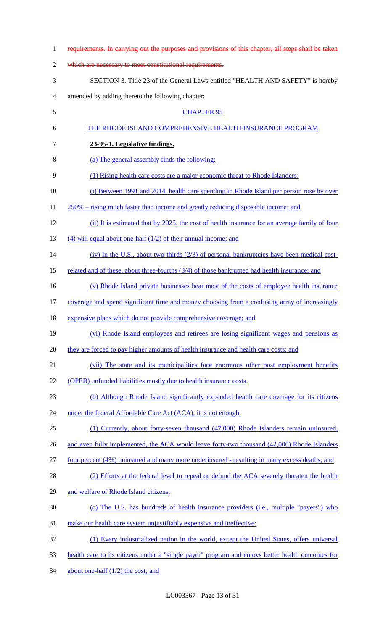| $\mathbf{1}$   | requirements. In carrying out the purposes and provisions of this chapter, all steps shall be taken |
|----------------|-----------------------------------------------------------------------------------------------------|
| $\overline{2}$ | which are necessary to meet constitutional requirements.                                            |
| 3              | SECTION 3. Title 23 of the General Laws entitled "HEALTH AND SAFETY" is hereby                      |
| 4              | amended by adding thereto the following chapter:                                                    |
| 5              | <b>CHAPTER 95</b>                                                                                   |
| 6              | THE RHODE ISLAND COMPREHENSIVE HEALTH INSURANCE PROGRAM                                             |
| 7              | 23-95-1. Legislative findings.                                                                      |
| 8              | (a) The general assembly finds the following:                                                       |
| 9              | (1) Rising health care costs are a major economic threat to Rhode Islanders:                        |
| 10             | (i) Between 1991 and 2014, health care spending in Rhode Island per person rose by over             |
| 11             | 250% – rising much faster than income and greatly reducing disposable income; and                   |
| 12             | (ii) It is estimated that by 2025, the cost of health insurance for an average family of four       |
| 13             | $(4)$ will equal about one-half $(1/2)$ of their annual income; and                                 |
| 14             | $(iv)$ In the U.S., about two-thirds (2/3) of personal bankruptcies have been medical cost-         |
| 15             | related and of these, about three-fourths (3/4) of those bankrupted had health insurance; and       |
| 16             | (v) Rhode Island private businesses bear most of the costs of employee health insurance             |
| 17             | coverage and spend significant time and money choosing from a confusing array of increasingly       |
| 18             | expensive plans which do not provide comprehensive coverage; and                                    |
| 19             | (vi) Rhode Island employees and retirees are losing significant wages and pensions as               |
| 20             | they are forced to pay higher amounts of health insurance and health care costs; and                |
| 21             | (vii) The state and its municipalities face enormous other post employment benefits                 |
| 22             | (OPEB) unfunded liabilities mostly due to health insurance costs.                                   |
| 23             | (b) Although Rhode Island significantly expanded health care coverage for its citizens              |
| 24             | under the federal Affordable Care Act (ACA), it is not enough:                                      |
| 25             | (1) Currently, about forty-seven thousand (47,000) Rhode Islanders remain uninsured,                |
| 26             | and even fully implemented, the ACA would leave forty-two thousand (42,000) Rhode Islanders         |
| 27             | four percent (4%) uninsured and many more underinsured - resulting in many excess deaths; and       |
| 28             | (2) Efforts at the federal level to repeal or defund the ACA severely threaten the health           |
| 29             | and welfare of Rhode Island citizens.                                                               |
| 30             | (c) The U.S. has hundreds of health insurance providers (i.e., multiple "payers") who               |
| 31             | make our health care system unjustifiably expensive and ineffective:                                |
| 32             | (1) Every industrialized nation in the world, except the United States, offers universal            |
| 33             | health care to its citizens under a "single payer" program and enjoys better health outcomes for    |
| 34             | about one-half $(1/2)$ the cost; and                                                                |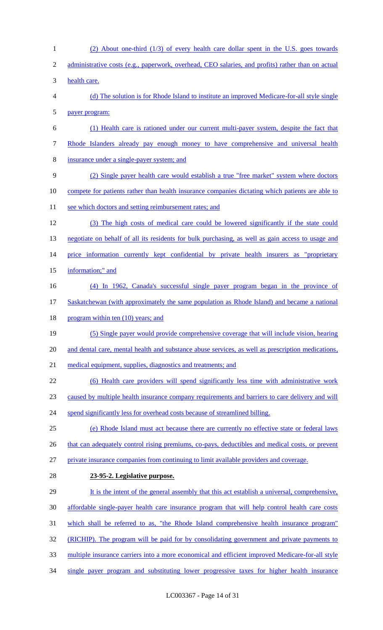(2) About one-third (1/3) of every health care dollar spent in the U.S. goes towards 2 administrative costs (e.g., paperwork, overhead, CEO salaries, and profits) rather than on actual health care. (d) The solution is for Rhode Island to institute an improved Medicare-for-all style single payer program: (1) Health care is rationed under our current multi-payer system, despite the fact that 7 Rhode Islanders already pay enough money to have comprehensive and universal health insurance under a single-payer system; and (2) Single payer health care would establish a true "free market" system where doctors compete for patients rather than health insurance companies dictating which patients are able to 11 see which doctors and setting reimbursement rates; and (3) The high costs of medical care could be lowered significantly if the state could 13 negotiate on behalf of all its residents for bulk purchasing, as well as gain access to usage and 14 price information currently kept confidential by private health insurers as "proprietary information;" and (4) In 1962, Canada's successful single payer program began in the province of Saskatchewan (with approximately the same population as Rhode Island) and became a national 18 program within ten (10) years; and (5) Single payer would provide comprehensive coverage that will include vision, hearing and dental care, mental health and substance abuse services, as well as prescription medications, medical equipment, supplies, diagnostics and treatments; and (6) Health care providers will spend significantly less time with administrative work caused by multiple health insurance company requirements and barriers to care delivery and will 24 spend significantly less for overhead costs because of streamlined billing. (e) Rhode Island must act because there are currently no effective state or federal laws 26 that can adequately control rising premiums, co-pays, deductibles and medical costs, or prevent private insurance companies from continuing to limit available providers and coverage. **23-95-2. Legislative purpose.**  It is the intent of the general assembly that this act establish a universal, comprehensive, affordable single-payer health care insurance program that will help control health care costs which shall be referred to as, "the Rhode Island comprehensive health insurance program" (RICHIP). The program will be paid for by consolidating government and private payments to 33 multiple insurance carriers into a more economical and efficient improved Medicare-for-all style single payer program and substituting lower progressive taxes for higher health insurance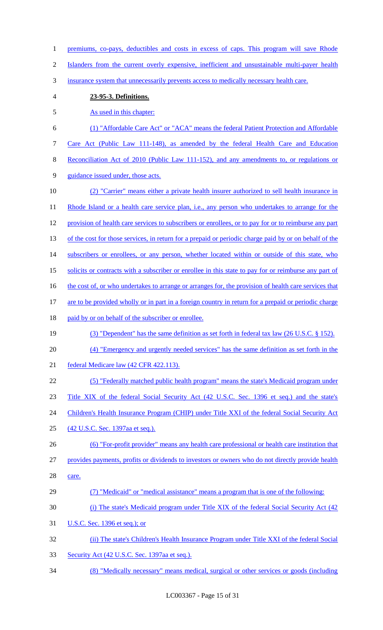1 premiums, co-pays, deductibles and costs in excess of caps. This program will save Rhode Islanders from the current overly expensive, inefficient and unsustainable multi-payer health insurance system that unnecessarily prevents access to medically necessary health care. **23-95-3. Definitions.**  5 As used in this chapter: (1) "Affordable Care Act" or "ACA" means the federal Patient Protection and Affordable Care Act (Public Law 111-148), as amended by the federal Health Care and Education Reconciliation Act of 2010 (Public Law 111-152), and any amendments to, or regulations or guidance issued under, those acts. (2) "Carrier" means either a private health insurer authorized to sell health insurance in 11 Rhode Island or a health care service plan, i.e., any person who undertakes to arrange for the 12 provision of health care services to subscribers or enrollees, or to pay for or to reimburse any part 13 of the cost for those services, in return for a prepaid or periodic charge paid by or on behalf of the 14 subscribers or enrollees, or any person, whether located within or outside of this state, who solicits or contracts with a subscriber or enrollee in this state to pay for or reimburse any part of 16 the cost of, or who undertakes to arrange or arranges for, the provision of health care services that are to be provided wholly or in part in a foreign country in return for a prepaid or periodic charge 18 paid by or on behalf of the subscriber or enrollee. (3) "Dependent" has the same definition as set forth in federal tax law (26 U.S.C. § 152). (4) "Emergency and urgently needed services" has the same definition as set forth in the federal Medicare law (42 CFR 422.113). (5) "Federally matched public health program" means the state's Medicaid program under Title XIX of the federal Social Security Act (42 U.S.C. Sec. 1396 et seq.) and the state's 24 Children's Health Insurance Program (CHIP) under Title XXI of the federal Social Security Act (42 U.S.C. Sec. 1397aa et seq.). (6) "For-profit provider" means any health care professional or health care institution that provides payments, profits or dividends to investors or owners who do not directly provide health 28 care. (7) "Medicaid" or "medical assistance" means a program that is one of the following: (i) The state's Medicaid program under Title XIX of the federal Social Security Act (42 U.S.C. Sec. 1396 et seq.); or (ii) The state's Children's Health Insurance Program under Title XXI of the federal Social Security Act (42 U.S.C. Sec. 1397aa et seq.). (8) "Medically necessary" means medical, surgical or other services or goods (including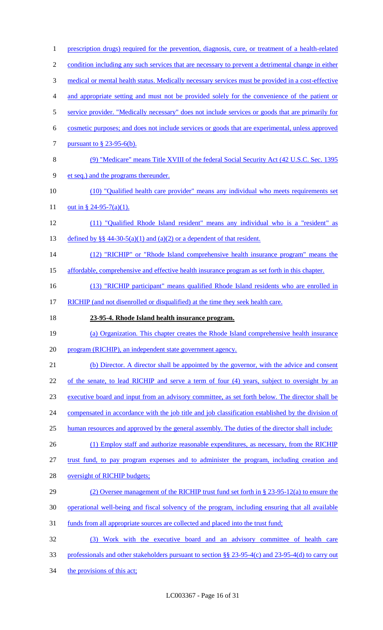| $\mathbf{1}$   | prescription drugs) required for the prevention, diagnosis, cure, or treatment of a health-related |
|----------------|----------------------------------------------------------------------------------------------------|
| $\overline{c}$ | condition including any such services that are necessary to prevent a detrimental change in either |
| 3              | medical or mental health status. Medically necessary services must be provided in a cost-effective |
| 4              | and appropriate setting and must not be provided solely for the convenience of the patient or      |
| 5              | service provider. "Medically necessary" does not include services or goods that are primarily for  |
| 6              | cosmetic purposes; and does not include services or goods that are experimental, unless approved   |
| 7              | pursuant to $\S$ 23-95-6(b).                                                                       |
| 8              | (9) "Medicare" means Title XVIII of the federal Social Security Act (42 U.S.C. Sec. 1395)          |
| 9              | et seq.) and the programs thereunder.                                                              |
| 10             | (10) "Qualified health care provider" means any individual who meets requirements set              |
| 11             | out in § 24-95-7(a)(1).                                                                            |
| 12             | (11) "Qualified Rhode Island resident" means any individual who is a "resident" as                 |
| 13             | defined by §§ 44-30-5(a)(1) and (a)(2) or a dependent of that resident.                            |
| 14             | (12) "RICHIP" or "Rhode Island comprehensive health insurance program" means the                   |
| 15             | affordable, comprehensive and effective health insurance program as set forth in this chapter.     |
| 16             | (13) "RICHIP participant" means qualified Rhode Island residents who are enrolled in               |
| 17             | RICHIP (and not disenrolled or disqualified) at the time they seek health care.                    |
|                |                                                                                                    |
| 18             | 23-95-4. Rhode Island health insurance program.                                                    |
| 19             | (a) Organization. This chapter creates the Rhode Island comprehensive health insurance             |
| 20             | program (RICHIP), an independent state government agency.                                          |
| 21             | (b) Director. A director shall be appointed by the governor, with the advice and consent           |
| 22             | of the senate, to lead RICHIP and serve a term of four (4) years, subject to oversight by an       |
| 23             | executive board and input from an advisory committee, as set forth below. The director shall be    |
| 24             | compensated in accordance with the job title and job classification established by the division of |
| 25             | human resources and approved by the general assembly. The duties of the director shall include:    |
| 26             | (1) Employ staff and authorize reasonable expenditures, as necessary, from the RICHIP              |
| 27             | trust fund, to pay program expenses and to administer the program, including creation and          |
| 28             | oversight of RICHIP budgets;                                                                       |
| 29             | (2) Oversee management of the RICHIP trust fund set forth in § 23-95-12(a) to ensure the           |
| 30             | operational well-being and fiscal solvency of the program, including ensuring that all available   |
| 31             | funds from all appropriate sources are collected and placed into the trust fund;                   |
| 32             | (3) Work with the executive board and an advisory committee of health care                         |
| 33             | professionals and other stakeholders pursuant to section §§ 23-95-4(c) and 23-95-4(d) to carry out |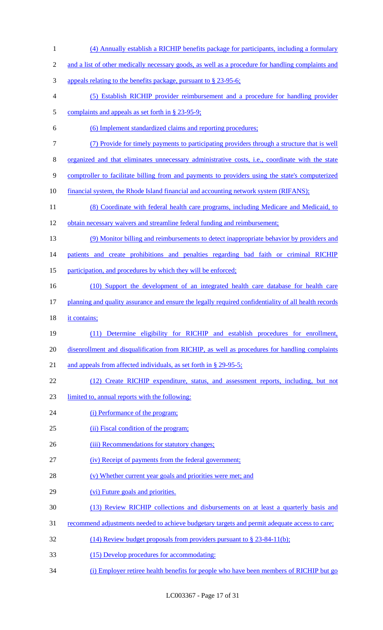(4) Annually establish a RICHIP benefits package for participants, including a formulary 2 and a list of other medically necessary goods, as well as a procedure for handling complaints and appeals relating to the benefits package, pursuant to § 23-95-6; (5) Establish RICHIP provider reimbursement and a procedure for handling provider 5 complaints and appeals as set forth in § 23-95-9; (6) Implement standardized claims and reporting procedures; (7) Provide for timely payments to participating providers through a structure that is well organized and that eliminates unnecessary administrative costs, i.e., coordinate with the state comptroller to facilitate billing from and payments to providers using the state's computerized 10 financial system, the Rhode Island financial and accounting network system (RIFANS); 11 (8) Coordinate with federal health care programs, including Medicare and Medicaid, to obtain necessary waivers and streamline federal funding and reimbursement; (9) Monitor billing and reimbursements to detect inappropriate behavior by providers and 14 patients and create prohibitions and penalties regarding bad faith or criminal RICHIP 15 participation, and procedures by which they will be enforced; (10) Support the development of an integrated health care database for health care planning and quality assurance and ensure the legally required confidentiality of all health records 18 it contains; (11) Determine eligibility for RICHIP and establish procedures for enrollment, disenrollment and disqualification from RICHIP, as well as procedures for handling complaints 21 and appeals from affected individuals, as set forth in § 29-95-5; (12) Create RICHIP expenditure, status, and assessment reports, including, but not limited to, annual reports with the following: 24 (i) Performance of the program; (ii) Fiscal condition of the program; 26 (iii) Recommendations for statutory changes; (iv) Receipt of payments from the federal government; 28 (v) Whether current year goals and priorities were met; and (vi) Future goals and priorities. (13) Review RICHIP collections and disbursements on at least a quarterly basis and recommend adjustments needed to achieve budgetary targets and permit adequate access to care; (14) Review budget proposals from providers pursuant to § 23-84-11(b); (15) Develop procedures for accommodating: (i) Employer retiree health benefits for people who have been members of RICHIP but go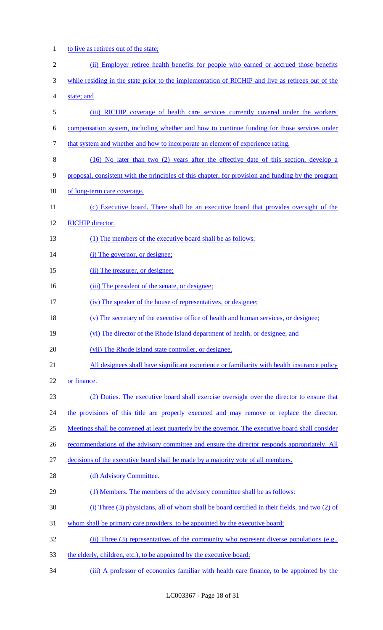1 to live as retirees out of the state;

| $\mathfrak{2}$ | (ii) Employer retiree health benefits for people who earned or accrued those benefits                    |
|----------------|----------------------------------------------------------------------------------------------------------|
| 3              | while residing in the state prior to the implementation of RICHIP and live as retirees out of the        |
| 4              | state; and                                                                                               |
| 5              | (iii) RICHIP coverage of health care services currently covered under the workers'                       |
| 6              | compensation system, including whether and how to continue funding for those services under              |
| 7              | that system and whether and how to incorporate an element of experience rating.                          |
| 8              | (16) No later than two (2) years after the effective date of this section, develop a                     |
| 9              | proposal, consistent with the principles of this chapter, for provision and funding by the program       |
| 10             | of long-term care coverage.                                                                              |
| 11             | (c) Executive board. There shall be an executive board that provides oversight of the                    |
| 12             | <b>RICHIP</b> director.                                                                                  |
| 13             | (1) The members of the executive board shall be as follows:                                              |
| 14             | (i) The governor, or designee;                                                                           |
| 15             | (ii) The treasurer, or designee;                                                                         |
| 16             | (iii) The president of the senate, or designee;                                                          |
| 17             | (iv) The speaker of the house of representatives, or designee;                                           |
| 18             | (v) The secretary of the executive office of health and human services, or designee;                     |
| 19             | (vi) The director of the Rhode Island department of health, or designee; and                             |
| 20             | (vii) The Rhode Island state controller, or designee.                                                    |
| 21             | All designees shall have significant experience or familiarity with health insurance policy              |
| 22             | or finance.                                                                                              |
| 23             | (2) Duties. The executive board shall exercise oversight over the director to ensure that                |
| 24             | the provisions of this title are properly executed and may remove or replace the director.               |
| 25             | <u>Meetings shall be convened at least quarterly by the governor. The executive board shall consider</u> |
| 26             | recommendations of the advisory committee and ensure the director responds appropriately. All            |
| 27             | decisions of the executive board shall be made by a majority vote of all members.                        |
| 28             | (d) Advisory Committee.                                                                                  |
| 29             | (1) Members. The members of the advisory committee shall be as follows:                                  |
| 30             | (i) Three $(3)$ physicians, all of whom shall be board certified in their fields, and two $(2)$ of       |
| 31             | whom shall be primary care providers, to be appointed by the executive board;                            |
| 32             | (ii) Three (3) representatives of the community who represent diverse populations (e.g.,                 |
| 33             | the elderly, children, etc.), to be appointed by the executive board;                                    |

34 (iii) A professor of economics familiar with health care finance, to be appointed by the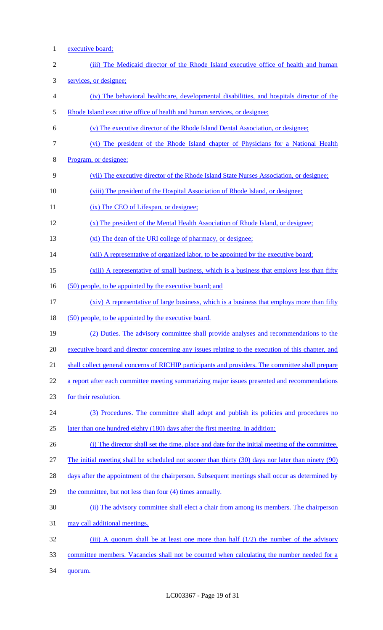1 executive board;

| $\overline{2}$ | (iii) The Medicaid director of the Rhode Island executive office of health and human                   |
|----------------|--------------------------------------------------------------------------------------------------------|
| 3              | services, or designee;                                                                                 |
| 4              | (iv) The behavioral healthcare, developmental disabilities, and hospitals director of the              |
| 5              | Rhode Island executive office of health and human services, or designee;                               |
| 6              | (v) The executive director of the Rhode Island Dental Association, or designee;                        |
| $\overline{7}$ | (vi) The president of the Rhode Island chapter of Physicians for a National Health                     |
| $8\,$          | Program, or designee:                                                                                  |
| 9              | (vii) The executive director of the Rhode Island State Nurses Association, or designee;                |
| 10             | (viii) The president of the Hospital Association of Rhode Island, or designee;                         |
| 11             | (ix) The CEO of Lifespan, or designee;                                                                 |
| 12             | (x) The president of the Mental Health Association of Rhode Island, or designee;                       |
| 13             | (xi) The dean of the URI college of pharmacy, or designee;                                             |
| 14             | (xii) A representative of organized labor, to be appointed by the executive board;                     |
| 15             | (xiii) A representative of small business, which is a business that employs less than fifty            |
| 16             | (50) people, to be appointed by the executive board; and                                               |
| 17             | (xiv) A representative of large business, which is a business that employs more than fifty             |
| 18             | (50) people, to be appointed by the executive board.                                                   |
| 19             | (2) Duties. The advisory committee shall provide analyses and recommendations to the                   |
| 20             | executive board and director concerning any issues relating to the execution of this chapter, and      |
| 21             | shall collect general concerns of RICHIP participants and providers. The committee shall prepare       |
| 22             | a report after each committee meeting summarizing major issues presented and recommendations           |
| 23             | for their resolution.                                                                                  |
| 24             | (3) Procedures. The committee shall adopt and publish its policies and procedures no                   |
| 25             | later than one hundred eighty (180) days after the first meeting. In addition:                         |
| 26             | (i) The director shall set the time, place and date for the initial meeting of the committee.          |
| 27             | The initial meeting shall be scheduled not sooner than thirty $(30)$ days nor later than ninety $(90)$ |
| 28             | days after the appointment of the chairperson. Subsequent meetings shall occur as determined by        |
| 29             | the committee, but not less than four (4) times annually.                                              |
| 30             | (ii) The advisory committee shall elect a chair from among its members. The chairperson                |
| 31             | may call additional meetings.                                                                          |
| 32             | (iii) A quorum shall be at least one more than half $(1/2)$ the number of the advisory                 |
| 33             | committee members. Vacancies shall not be counted when calculating the number needed for a             |
| 34             | quorum.                                                                                                |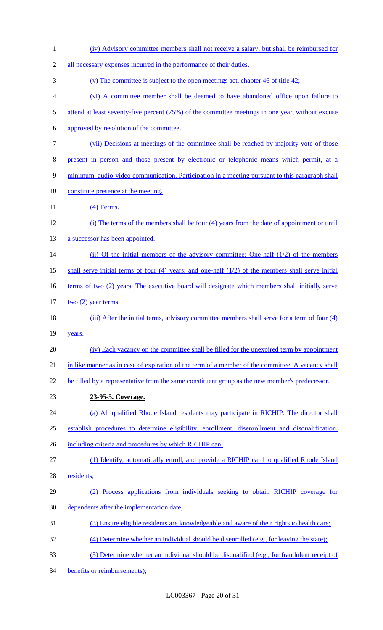| $\mathbf{1}$   | (iv) Advisory committee members shall not receive a salary, but shall be reimbursed for                |
|----------------|--------------------------------------------------------------------------------------------------------|
| $\overline{2}$ | all necessary expenses incurred in the performance of their duties.                                    |
| 3              | (v) The committee is subject to the open meetings act, chapter 46 of title $42$ ;                      |
| 4              | (vi) A committee member shall be deemed to have abandoned office upon failure to                       |
| 5              | attend at least seventy-five percent (75%) of the committee meetings in one year, without excuse       |
| 6              | approved by resolution of the committee.                                                               |
| 7              | (vii) Decisions at meetings of the committee shall be reached by majority vote of those                |
| 8              | present in person and those present by electronic or telephonic means which permit, at a               |
| 9              | minimum, audio-video communication. Participation in a meeting pursuant to this paragraph shall        |
| 10             | constitute presence at the meeting.                                                                    |
| 11             | $(4)$ Terms.                                                                                           |
| 12             | (i) The terms of the members shall be four (4) years from the date of appointment or until             |
| 13             | a successor has been appointed.                                                                        |
| 14             | (ii) Of the initial members of the advisory committee: One-half (1/2) of the members                   |
| 15             | shall serve initial terms of four $(4)$ years; and one-half $(1/2)$ of the members shall serve initial |
| 16             | terms of two (2) years. The executive board will designate which members shall initially serve         |
| 17             | $two(2)$ year terms.                                                                                   |
| 18             | (iii) After the initial terms, advisory committee members shall serve for a term of four (4)           |
| 19             | years.                                                                                                 |
| 20             | (iv) Each vacancy on the committee shall be filled for the unexpired term by appointment               |
| 21             | in like manner as in case of expiration of the term of a member of the committee. A vacancy shall      |
| 22             | be filled by a representative from the same constituent group as the new member's predecessor.         |
| 23             | 23-95-5. Coverage.                                                                                     |
| 24             | (a) All qualified Rhode Island residents may participate in RICHIP. The director shall                 |
| 25             | establish procedures to determine eligibility, enrollment, disenrollment and disqualification,         |
| 26             | including criteria and procedures by which RICHIP can:                                                 |
| 27             | (1) Identify, automatically enroll, and provide a RICHIP card to qualified Rhode Island                |
| 28             | residents;                                                                                             |
| 29             | (2) Process applications from individuals seeking to obtain RICHIP coverage for                        |
| 30             | dependents after the implementation date;                                                              |
| 31             | (3) Ensure eligible residents are knowledgeable and aware of their rights to health care;              |
| 32             | (4) Determine whether an individual should be disenrolled (e.g., for leaving the state);               |
| 33             | (5) Determine whether an individual should be disqualified (e.g., for fraudulent receipt of            |
| 34             | benefits or reimbursements);                                                                           |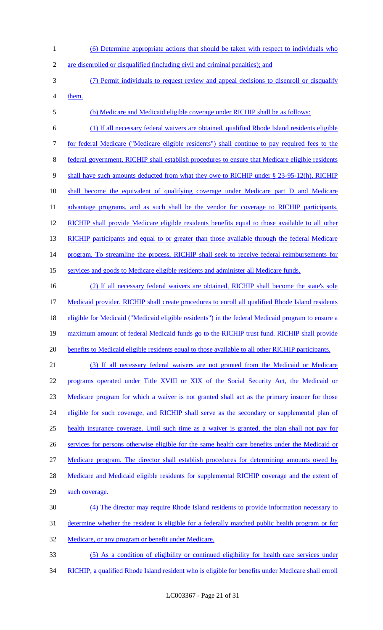- 1 (6) Determine appropriate actions that should be taken with respect to individuals who
- 2 are disenrolled or disqualified (including civil and criminal penalties); and
- 3 (7) Permit individuals to request review and appeal decisions to disenroll or disqualify 4 them.
- 5 (b) Medicare and Medicaid eligible coverage under RICHIP shall be as follows:

6 (1) If all necessary federal waivers are obtained, qualified Rhode Island residents eligible 7 for federal Medicare ("Medicare eligible residents") shall continue to pay required fees to the 8 federal government. RICHIP shall establish procedures to ensure that Medicare eligible residents 9 shall have such amounts deducted from what they owe to RICHIP under § 23-95-12(h). RICHIP 10 shall become the equivalent of qualifying coverage under Medicare part D and Medicare 11 advantage programs, and as such shall be the vendor for coverage to RICHIP participants. 12 RICHIP shall provide Medicare eligible residents benefits equal to those available to all other 13 RICHIP participants and equal to or greater than those available through the federal Medicare 14 program. To streamline the process, RICHIP shall seek to receive federal reimbursements for 15 services and goods to Medicare eligible residents and administer all Medicare funds.

16 (2) If all necessary federal waivers are obtained, RICHIP shall become the state's sole 17 Medicaid provider. RICHIP shall create procedures to enroll all qualified Rhode Island residents 18 eligible for Medicaid ("Medicaid eligible residents") in the federal Medicaid program to ensure a 19 maximum amount of federal Medicaid funds go to the RICHIP trust fund. RICHIP shall provide 20 benefits to Medicaid eligible residents equal to those available to all other RICHIP participants.

 (3) If all necessary federal waivers are not granted from the Medicaid or Medicare programs operated under Title XVIII or XIX of the Social Security Act, the Medicaid or Medicare program for which a waiver is not granted shall act as the primary insurer for those 24 eligible for such coverage, and RICHIP shall serve as the secondary or supplemental plan of health insurance coverage. Until such time as a waiver is granted, the plan shall not pay for 26 services for persons otherwise eligible for the same health care benefits under the Medicaid or Medicare program. The director shall establish procedures for determining amounts owed by 28 Medicare and Medicaid eligible residents for supplemental RICHIP coverage and the extent of such coverage. (4) The director may require Rhode Island residents to provide information necessary to

- 31 determine whether the resident is eligible for a federally matched public health program or for
- 32 Medicare, or any program or benefit under Medicare.
- 33 (5) As a condition of eligibility or continued eligibility for health care services under 34 RICHIP, a qualified Rhode Island resident who is eligible for benefits under Medicare shall enroll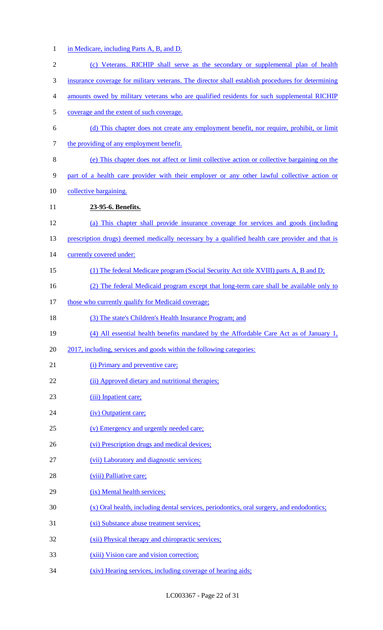1 in Medicare, including Parts A, B, and D.

| $\sqrt{2}$ | (c) Veterans. RICHIP shall serve as the secondary or supplemental plan of health                  |
|------------|---------------------------------------------------------------------------------------------------|
| 3          | insurance coverage for military veterans. The director shall establish procedures for determining |
| 4          | amounts owed by military veterans who are qualified residents for such supplemental RICHIP        |
| 5          | coverage and the extent of such coverage.                                                         |
| 6          | (d) This chapter does not create any employment benefit, nor require, prohibit, or limit          |
| 7          | the providing of any employment benefit.                                                          |
| $8\,$      | (e) This chapter does not affect or limit collective action or collective bargaining on the       |
| 9          | part of a health care provider with their employer or any other lawful collective action or       |
| 10         | collective bargaining.                                                                            |
| 11         | 23-95-6. Benefits.                                                                                |
| 12         | (a) This chapter shall provide insurance coverage for services and goods (including               |
| 13         | prescription drugs) deemed medically necessary by a qualified health care provider and that is    |
| 14         | currently covered under:                                                                          |
| 15         | (1) The federal Medicare program (Social Security Act title XVIII) parts A, B and D;              |
| 16         | (2) The federal Medicaid program except that long-term care shall be available only to            |
| 17         | those who currently qualify for Medicaid coverage;                                                |
| 18         | (3) The state's Children's Health Insurance Program; and                                          |
| 19         | (4) All essential health benefits mandated by the Affordable Care Act as of January 1,            |
| 20         | 2017, including, services and goods within the following categories:                              |
| 21         | (i) Primary and preventive care;                                                                  |
| 22         | (ii) Approved dietary and nutritional therapies;                                                  |
| 23         | (iii) Inpatient care;                                                                             |
| 24         | (iv) Outpatient care;                                                                             |
| 25         | (v) Emergency and urgently needed care;                                                           |
| 26         | (vi) Prescription drugs and medical devices;                                                      |
| 27         | (vii) Laboratory and diagnostic services;                                                         |
| 28         | (viii) Palliative care;                                                                           |
| 29         | (ix) Mental health services;                                                                      |
| 30         | (x) Oral health, including dental services, periodontics, oral surgery, and endodontics;          |
| 31         | (xi) Substance abuse treatment services;                                                          |
| 32         | (xii) Physical therapy and chiropractic services;                                                 |
| 33         | (xiii) Vision care and vision correction;                                                         |
| 34         | (xiv) Hearing services, including coverage of hearing aids;                                       |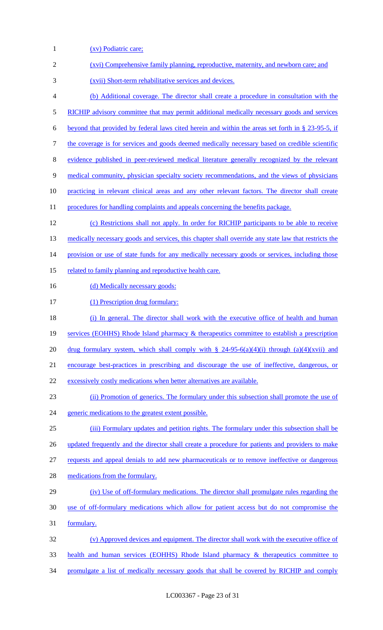1 (xv) Podiatric care; 2 (xvi) Comprehensive family planning, reproductive, maternity, and newborn care; and 3 (xvii) Short-term rehabilitative services and devices. 4 (b) Additional coverage. The director shall create a procedure in consultation with the 5 RICHIP advisory committee that may permit additional medically necessary goods and services 6 beyond that provided by federal laws cited herein and within the areas set forth in § 23-95-5, if 7 the coverage is for services and goods deemed medically necessary based on credible scientific 8 evidence published in peer-reviewed medical literature generally recognized by the relevant 9 medical community, physician specialty society recommendations, and the views of physicians 10 practicing in relevant clinical areas and any other relevant factors. The director shall create 11 procedures for handling complaints and appeals concerning the benefits package. 12 (c) Restrictions shall not apply. In order for RICHIP participants to be able to receive 13 medically necessary goods and services, this chapter shall override any state law that restricts the 14 provision or use of state funds for any medically necessary goods or services, including those 15 related to family planning and reproductive health care. 16 (d) Medically necessary goods: 17 (1) Prescription drug formulary: 18 (i) In general. The director shall work with the executive office of health and human 19 services (EOHHS) Rhode Island pharmacy & therapeutics committee to establish a prescription 20 drug formulary system, which shall comply with  $\S$  24-95-6(a)(4)(i) through (a)(4)(xvii) and 21 encourage best-practices in prescribing and discourage the use of ineffective, dangerous, or 22 excessively costly medications when better alternatives are available. 23 (ii) Promotion of generics. The formulary under this subsection shall promote the use of 24 generic medications to the greatest extent possible. 25 (iii) Formulary updates and petition rights. The formulary under this subsection shall be 26 updated frequently and the director shall create a procedure for patients and providers to make 27 requests and appeal denials to add new pharmaceuticals or to remove ineffective or dangerous 28 medications from the formulary. 29 (iv) Use of off-formulary medications. The director shall promulgate rules regarding the 30 use of off-formulary medications which allow for patient access but do not compromise the 31 formulary. 32 (v) Approved devices and equipment. The director shall work with the executive office of 33 health and human services (EOHHS) Rhode Island pharmacy & therapeutics committee to 34 promulgate a list of medically necessary goods that shall be covered by RICHIP and comply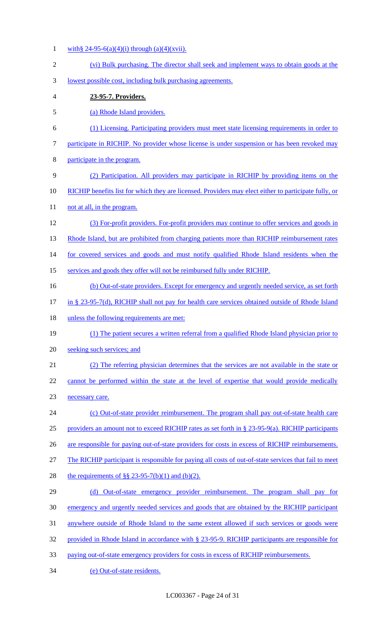- 1 with § 24-95-6(a)(4)(i) through (a)(4)(xvii).
- 2 (vi) Bulk purchasing. The director shall seek and implement ways to obtain goods at the 3 lowest possible cost, including bulk purchasing agreements. 4 **23-95-7. Providers.**  5 (a) Rhode Island providers. 6 (1) Licensing. Participating providers must meet state licensing requirements in order to 7 participate in RICHIP. No provider whose license is under suspension or has been revoked may 8 participate in the program. 9 (2) Participation. All providers may participate in RICHIP by providing items on the 10 RICHIP benefits list for which they are licensed. Providers may elect either to participate fully, or 11 not at all, in the program. 12 (3) For-profit providers. For-profit providers may continue to offer services and goods in 13 Rhode Island, but are prohibited from charging patients more than RICHIP reimbursement rates 14 for covered services and goods and must notify qualified Rhode Island residents when the 15 services and goods they offer will not be reimbursed fully under RICHIP. 16 (b) Out-of-state providers. Except for emergency and urgently needed service, as set forth 17 in § 23-95-7(d), RICHIP shall not pay for health care services obtained outside of Rhode Island 18 unless the following requirements are met: 19 (1) The patient secures a written referral from a qualified Rhode Island physician prior to 20 seeking such services; and 21 (2) The referring physician determines that the services are not available in the state or 22 cannot be performed within the state at the level of expertise that would provide medically 23 necessary care. 24 (c) Out-of-state provider reimbursement. The program shall pay out-of-state health care 25 providers an amount not to exceed RICHIP rates as set forth in § 23-95-9(a). RICHIP participants 26 are responsible for paying out-of-state providers for costs in excess of RICHIP reimbursements. 27 The RICHIP participant is responsible for paying all costs of out-of-state services that fail to meet 28 the requirements of  $\S$ § 23-95-7(b)(1) and (b)(2). 29 (d) Out-of-state emergency provider reimbursement. The program shall pay for 30 emergency and urgently needed services and goods that are obtained by the RICHIP participant 31 anywhere outside of Rhode Island to the same extent allowed if such services or goods were 32 provided in Rhode Island in accordance with § 23-95-9. RICHIP participants are responsible for 33 paying out-of-state emergency providers for costs in excess of RICHIP reimbursements. 34 (e) Out-of-state residents.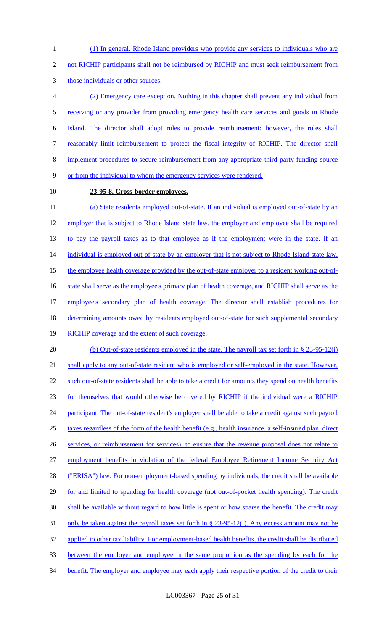1 (1) In general. Rhode Island providers who provide any services to individuals who are

2 not RICHIP participants shall not be reimbursed by RICHIP and must seek reimbursement from

3 those individuals or other sources.

 (2) Emergency care exception. Nothing in this chapter shall prevent any individual from 5 receiving or any provider from providing emergency health care services and goods in Rhode Island. The director shall adopt rules to provide reimbursement; however, the rules shall reasonably limit reimbursement to protect the fiscal integrity of RICHIP. The director shall implement procedures to secure reimbursement from any appropriate third-party funding source or from the individual to whom the emergency services were rendered.

## 10 **23-95-8. Cross-border employees.**

11 (a) State residents employed out-of-state. If an individual is employed out-of-state by an 12 employer that is subject to Rhode Island state law, the employer and employee shall be required 13 to pay the payroll taxes as to that employee as if the employment were in the state. If an 14 individual is employed out-of-state by an employer that is not subject to Rhode Island state law, 15 the employee health coverage provided by the out-of-state employer to a resident working out-of-16 state shall serve as the employee's primary plan of health coverage, and RICHIP shall serve as the 17 employee's secondary plan of health coverage. The director shall establish procedures for 18 determining amounts owed by residents employed out-of-state for such supplemental secondary 19 RICHIP coverage and the extent of such coverage. 20 (b) Out-of-state residents employed in the state. The payroll tax set forth in § 23-95-12(i)

21 shall apply to any out-of-state resident who is employed or self-employed in the state. However, 22 such out-of-state residents shall be able to take a credit for amounts they spend on health benefits 23 for themselves that would otherwise be covered by RICHIP if the individual were a RICHIP 24 participant. The out-of-state resident's employer shall be able to take a credit against such payroll 25 taxes regardless of the form of the health benefit (e.g., health insurance, a self-insured plan, direct 26 services, or reimbursement for services), to ensure that the revenue proposal does not relate to 27 employment benefits in violation of the federal Employee Retirement Income Security Act 28 ("ERISA") law. For non-employment-based spending by individuals, the credit shall be available 29 for and limited to spending for health coverage (not out-of-pocket health spending). The credit 30 shall be available without regard to how little is spent or how sparse the benefit. The credit may 31 only be taken against the payroll taxes set forth in § 23-95-12(i). Any excess amount may not be 32 applied to other tax liability. For employment-based health benefits, the credit shall be distributed 33 between the employer and employee in the same proportion as the spending by each for the 34 benefit. The employer and employee may each apply their respective portion of the credit to their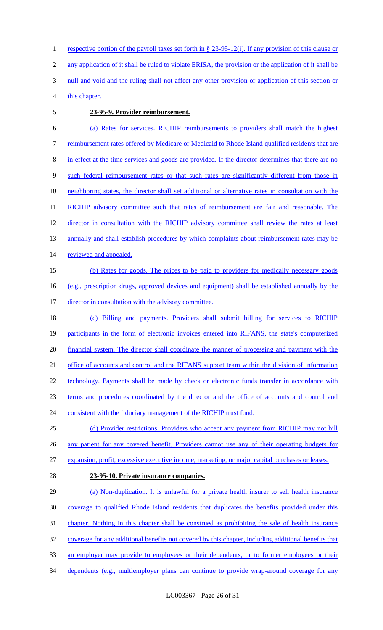respective portion of the payroll taxes set forth in § 23-95-12(i). If any provision of this clause or any application of it shall be ruled to violate ERISA, the provision or the application of it shall be 3 null and void and the ruling shall not affect any other provision or application of this section or this chapter.

#### 5 **23-95-9. Provider reimbursement.**

6 (a) Rates for services. RICHIP reimbursements to providers shall match the highest 7 reimbursement rates offered by Medicare or Medicaid to Rhode Island qualified residents that are 8 in effect at the time services and goods are provided. If the director determines that there are no 9 such federal reimbursement rates or that such rates are significantly different from those in 10 neighboring states, the director shall set additional or alternative rates in consultation with the 11 RICHIP advisory committee such that rates of reimbursement are fair and reasonable. The 12 director in consultation with the RICHIP advisory committee shall review the rates at least 13 annually and shall establish procedures by which complaints about reimbursement rates may be 14 reviewed and appealed. 15 (b) Rates for goods. The prices to be paid to providers for medically necessary goods 16 (e.g., prescription drugs, approved devices and equipment) shall be established annually by the 17 director in consultation with the advisory committee. 18 (c) Billing and payments. Providers shall submit billing for services to RICHIP

19 participants in the form of electronic invoices entered into RIFANS, the state's computerized 20 financial system. The director shall coordinate the manner of processing and payment with the 21 office of accounts and control and the RIFANS support team within the division of information 22 technology. Payments shall be made by check or electronic funds transfer in accordance with 23 terms and procedures coordinated by the director and the office of accounts and control and

24 consistent with the fiduciary management of the RICHIP trust fund.

25 (d) Provider restrictions. Providers who accept any payment from RICHIP may not bill 26 any patient for any covered benefit. Providers cannot use any of their operating budgets for

27 expansion, profit, excessive executive income, marketing, or major capital purchases or leases.

28 **23-95-10. Private insurance companies.** 

 (a) Non-duplication. It is unlawful for a private health insurer to sell health insurance coverage to qualified Rhode Island residents that duplicates the benefits provided under this chapter. Nothing in this chapter shall be construed as prohibiting the sale of health insurance coverage for any additional benefits not covered by this chapter, including additional benefits that 33 an employer may provide to employees or their dependents, or to former employees or their 34 dependents (e.g., multiemployer plans can continue to provide wrap-around coverage for any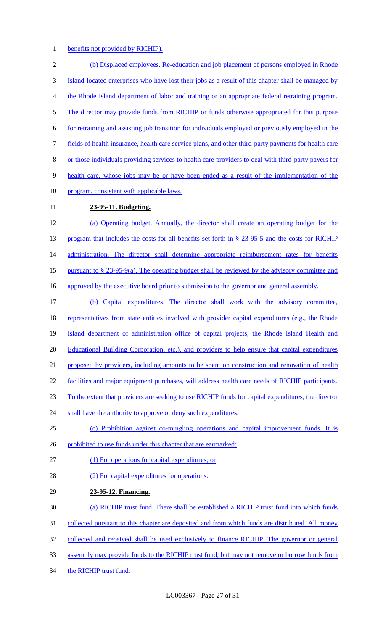1 benefits not provided by RICHIP).

2 (b) Displaced employees. Re-education and job placement of persons employed in Rhode 3 Island-located enterprises who have lost their jobs as a result of this chapter shall be managed by 4 the Rhode Island department of labor and training or an appropriate federal retraining program. 5 The director may provide funds from RICHIP or funds otherwise appropriated for this purpose 6 for retraining and assisting job transition for individuals employed or previously employed in the 7 fields of health insurance, health care service plans, and other third-party payments for health care 8 or those individuals providing services to health care providers to deal with third-party payers for 9 health care, whose jobs may be or have been ended as a result of the implementation of the 10 program, consistent with applicable laws. 11 **23-95-11. Budgeting.**  12 (a) Operating budget. Annually, the director shall create an operating budget for the 13 program that includes the costs for all benefits set forth in § 23-95-5 and the costs for RICHIP 14 administration. The director shall determine appropriate reimbursement rates for benefits 15 pursuant to  $\S 23-95-9(a)$ . The operating budget shall be reviewed by the advisory committee and 16 approved by the executive board prior to submission to the governor and general assembly. 17 (b) Capital expenditures. The director shall work with the advisory committee, 18 representatives from state entities involved with provider capital expenditures (e.g., the Rhode 19 Island department of administration office of capital projects, the Rhode Island Health and 20 Educational Building Corporation, etc.), and providers to help ensure that capital expenditures 21 proposed by providers, including amounts to be spent on construction and renovation of health 22 facilities and major equipment purchases, will address health care needs of RICHIP participants. 23 To the extent that providers are seeking to use RICHIP funds for capital expenditures, the director 24 shall have the authority to approve or deny such expenditures. 25 (c) Prohibition against co-mingling operations and capital improvement funds. It is 26 prohibited to use funds under this chapter that are earmarked: 27 (1) For operations for capital expenditures; or 28 (2) For capital expenditures for operations. 29 **23-95-12. Financing.**  30 (a) RICHIP trust fund. There shall be established a RICHIP trust fund into which funds 31 collected pursuant to this chapter are deposited and from which funds are distributed. All money 32 collected and received shall be used exclusively to finance RICHIP. The governor or general 33 assembly may provide funds to the RICHIP trust fund, but may not remove or borrow funds from 34 the RICHIP trust fund.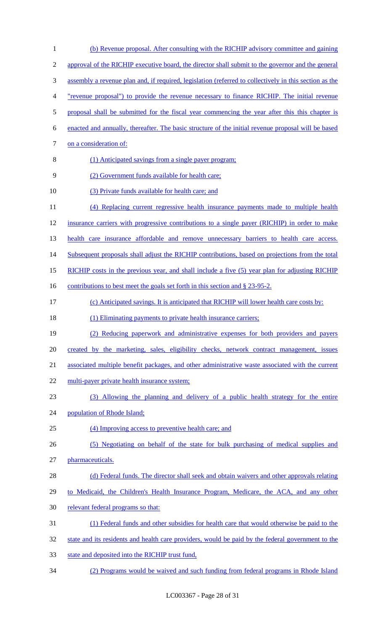(b) Revenue proposal. After consulting with the RICHIP advisory committee and gaining approval of the RICHIP executive board, the director shall submit to the governor and the general assembly a revenue plan and, if required, legislation (referred to collectively in this section as the "revenue proposal") to provide the revenue necessary to finance RICHIP. The initial revenue 5 proposal shall be submitted for the fiscal year commencing the year after this this chapter is enacted and annually, thereafter. The basic structure of the initial revenue proposal will be based 7 on a consideration of: (1) Anticipated savings from a single payer program; (2) Government funds available for health care; (3) Private funds available for health care; and (4) Replacing current regressive health insurance payments made to multiple health insurance carriers with progressive contributions to a single payer (RICHIP) in order to make health care insurance affordable and remove unnecessary barriers to health care access. 14 Subsequent proposals shall adjust the RICHIP contributions, based on projections from the total 15 RICHIP costs in the previous year, and shall include a five (5) year plan for adjusting RICHIP 16 contributions to best meet the goals set forth in this section and § 23-95-2. (c) Anticipated savings. It is anticipated that RICHIP will lower health care costs by: 18 (1) Eliminating payments to private health insurance carriers; (2) Reducing paperwork and administrative expenses for both providers and payers created by the marketing, sales, eligibility checks, network contract management, issues associated multiple benefit packages, and other administrative waste associated with the current multi-payer private health insurance system; (3) Allowing the planning and delivery of a public health strategy for the entire population of Rhode Island; (4) Improving access to preventive health care; and (5) Negotiating on behalf of the state for bulk purchasing of medical supplies and pharmaceuticals. (d) Federal funds. The director shall seek and obtain waivers and other approvals relating to Medicaid, the Children's Health Insurance Program, Medicare, the ACA, and any other 30 relevant federal programs so that: (1) Federal funds and other subsidies for health care that would otherwise be paid to the 32 state and its residents and health care providers, would be paid by the federal government to the state and deposited into the RICHIP trust fund, (2) Programs would be waived and such funding from federal programs in Rhode Island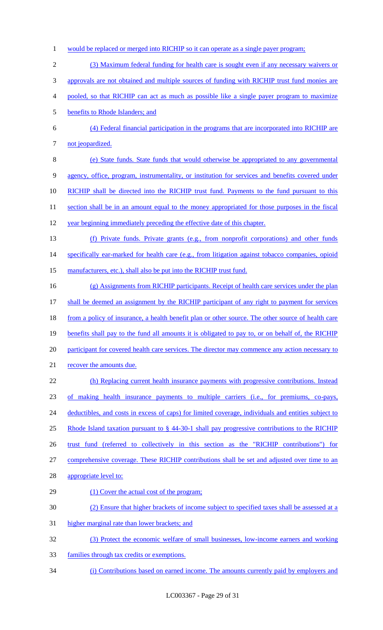- would be replaced or merged into RICHIP so it can operate as a single payer program;
- (3) Maximum federal funding for health care is sought even if any necessary waivers or
- approvals are not obtained and multiple sources of funding with RICHIP trust fund monies are
- pooled, so that RICHIP can act as much as possible like a single payer program to maximize
- benefits to Rhode Islanders; and
- (4) Federal financial participation in the programs that are incorporated into RICHIP are 7 not jeopardized.
- (e) State funds. State funds that would otherwise be appropriated to any governmental agency, office, program, instrumentality, or institution for services and benefits covered under RICHIP shall be directed into the RICHIP trust fund. Payments to the fund pursuant to this 11 section shall be in an amount equal to the money appropriated for those purposes in the fiscal year beginning immediately preceding the effective date of this chapter.
- (f) Private funds. Private grants (e.g., from nonprofit corporations) and other funds

14 specifically ear-marked for health care (e.g., from litigation against tobacco companies, opioid

- 15 manufacturers, etc.), shall also be put into the RICHIP trust fund.
- (g) Assignments from RICHIP participants. Receipt of health care services under the plan 17 shall be deemed an assignment by the RICHIP participant of any right to payment for services 18 from a policy of insurance, a health benefit plan or other source. The other source of health care 19 benefits shall pay to the fund all amounts it is obligated to pay to, or on behalf of, the RICHIP 20 participant for covered health care services. The director may commence any action necessary to 21 recover the amounts due. (h) Replacing current health insurance payments with progressive contributions. Instead of making health insurance payments to multiple carriers (i.e., for premiums, co-pays, 24 deductibles, and costs in excess of caps) for limited coverage, individuals and entities subject to
- Rhode Island taxation pursuant to § 44-30-1 shall pay progressive contributions to the RICHIP
- trust fund (referred to collectively in this section as the "RICHIP contributions") for
- comprehensive coverage. These RICHIP contributions shall be set and adjusted over time to an
- 28 appropriate level to:
- 29 (1) Cover the actual cost of the program;
- (2) Ensure that higher brackets of income subject to specified taxes shall be assessed at a
- higher marginal rate than lower brackets; and
- (3) Protect the economic welfare of small businesses, low-income earners and working
- families through tax credits or exemptions.
- (i) Contributions based on earned income. The amounts currently paid by employers and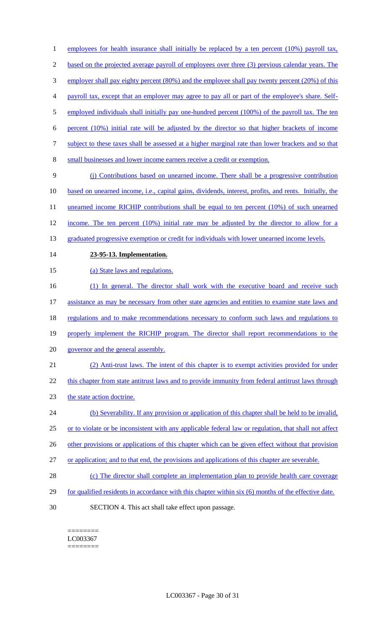2 based on the projected average payroll of employees over three (3) previous calendar years. The 3 employer shall pay eighty percent (80%) and the employee shall pay twenty percent (20%) of this 4 payroll tax, except that an employer may agree to pay all or part of the employee's share. Self-5 employed individuals shall initially pay one-hundred percent (100%) of the payroll tax. The ten 6 percent (10%) initial rate will be adjusted by the director so that higher brackets of income 7 subject to these taxes shall be assessed at a higher marginal rate than lower brackets and so that 8 small businesses and lower income earners receive a credit or exemption. 9 (j) Contributions based on unearned income. There shall be a progressive contribution 10 based on unearned income, i.e., capital gains, dividends, interest, profits, and rents. Initially, the 11 unearned income RICHIP contributions shall be equal to ten percent (10%) of such unearned 12 income. The ten percent (10%) initial rate may be adjusted by the director to allow for a 13 graduated progressive exemption or credit for individuals with lower unearned income levels. 14 **23-95-13. Implementation.**  15 (a) State laws and regulations. 16 (1) In general. The director shall work with the executive board and receive such 17 assistance as may be necessary from other state agencies and entities to examine state laws and 18 regulations and to make recommendations necessary to conform such laws and regulations to 19 properly implement the RICHIP program. The director shall report recommendations to the 20 governor and the general assembly. 21 (2) Anti-trust laws. The intent of this chapter is to exempt activities provided for under 22 this chapter from state antitrust laws and to provide immunity from federal antitrust laws through 23 the state action doctrine. 24 (b) Severability. If any provision or application of this chapter shall be held to be invalid, 25 or to violate or be inconsistent with any applicable federal law or regulation, that shall not affect 26 other provisions or applications of this chapter which can be given effect without that provision 27 or application; and to that end, the provisions and applications of this chapter are severable. 28 (c) The director shall complete an implementation plan to provide health care coverage 29 for qualified residents in accordance with this chapter within six (6) months of the effective date. 30 SECTION 4. This act shall take effect upon passage.

1 employees for health insurance shall initially be replaced by a ten percent (10%) payroll tax,

======== LC003367 ========